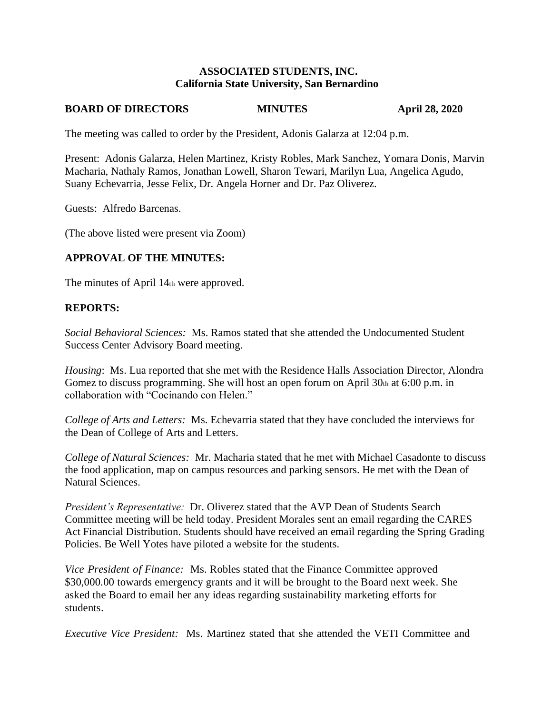### **ASSOCIATED STUDENTS, INC. California State University, San Bernardino**

## **BOARD OF DIRECTORS MINUTES April 28, 2020**

The meeting was called to order by the President, Adonis Galarza at 12:04 p.m.

Present: Adonis Galarza, Helen Martinez, Kristy Robles, Mark Sanchez, Yomara Donis, Marvin Macharia, Nathaly Ramos, Jonathan Lowell, Sharon Tewari, Marilyn Lua, Angelica Agudo, Suany Echevarria, Jesse Felix, Dr. Angela Horner and Dr. Paz Oliverez.

Guests: Alfredo Barcenas.

(The above listed were present via Zoom)

## **APPROVAL OF THE MINUTES:**

The minutes of April 14th were approved.

### **REPORTS:**

*Social Behavioral Sciences:* Ms. Ramos stated that she attended the Undocumented Student Success Center Advisory Board meeting.

*Housing*: Ms. Lua reported that she met with the Residence Halls Association Director, Alondra Gomez to discuss programming. She will host an open forum on April  $30<sub>th</sub>$  at 6:00 p.m. in collaboration with "Cocinando con Helen."

*College of Arts and Letters:* Ms. Echevarria stated that they have concluded the interviews for the Dean of College of Arts and Letters.

*College of Natural Sciences:* Mr. Macharia stated that he met with Michael Casadonte to discuss the food application, map on campus resources and parking sensors. He met with the Dean of Natural Sciences.

*President's Representative:* Dr. Oliverez stated that the AVP Dean of Students Search Committee meeting will be held today. President Morales sent an email regarding the CARES Act Financial Distribution. Students should have received an email regarding the Spring Grading Policies. Be Well Yotes have piloted a website for the students.

*Vice President of Finance:* Ms. Robles stated that the Finance Committee approved \$30,000.00 towards emergency grants and it will be brought to the Board next week. She asked the Board to email her any ideas regarding sustainability marketing efforts for students.

*Executive Vice President:* Ms. Martinez stated that she attended the VETI Committee and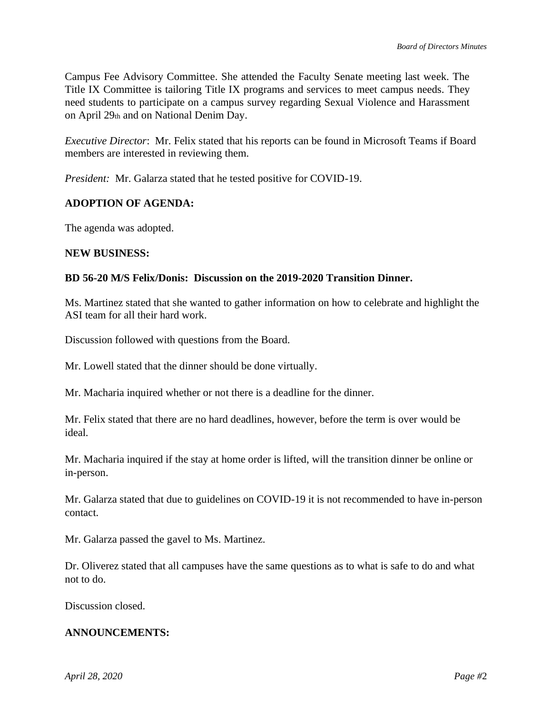Campus Fee Advisory Committee. She attended the Faculty Senate meeting last week. The Title IX Committee is tailoring Title IX programs and services to meet campus needs. They need students to participate on a campus survey regarding Sexual Violence and Harassment on April 29th and on National Denim Day.

*Executive Director*: Mr. Felix stated that his reports can be found in Microsoft Teams if Board members are interested in reviewing them.

*President:* Mr. Galarza stated that he tested positive for COVID-19.

# **ADOPTION OF AGENDA:**

The agenda was adopted.

### **NEW BUSINESS:**

## **BD 56-20 M/S Felix/Donis: Discussion on the 2019-2020 Transition Dinner.**

Ms. Martinez stated that she wanted to gather information on how to celebrate and highlight the ASI team for all their hard work.

Discussion followed with questions from the Board.

Mr. Lowell stated that the dinner should be done virtually.

Mr. Macharia inquired whether or not there is a deadline for the dinner.

Mr. Felix stated that there are no hard deadlines, however, before the term is over would be ideal.

Mr. Macharia inquired if the stay at home order is lifted, will the transition dinner be online or in-person.

Mr. Galarza stated that due to guidelines on COVID-19 it is not recommended to have in-person contact.

Mr. Galarza passed the gavel to Ms. Martinez.

Dr. Oliverez stated that all campuses have the same questions as to what is safe to do and what not to do.

Discussion closed.

## **ANNOUNCEMENTS:**